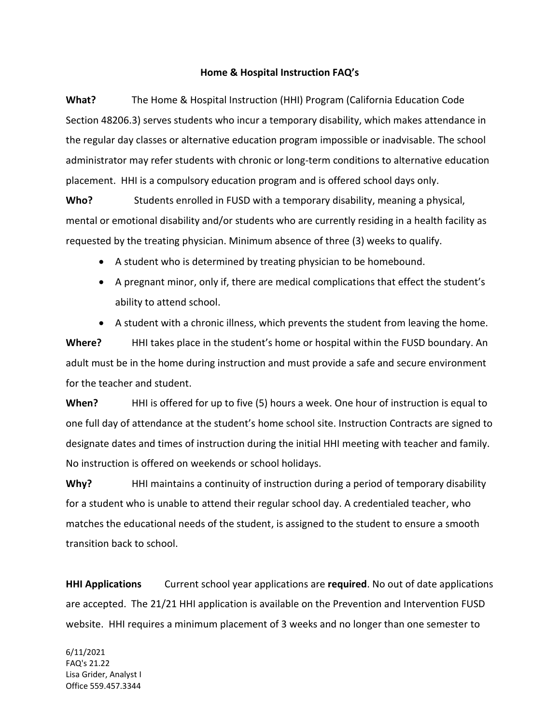## **Home & Hospital Instruction FAQ's**

**What?** The Home & Hospital Instruction (HHI) Program (California Education Code Section 48206.3) serves students who incur a temporary disability, which makes attendance in the regular day classes or alternative education program impossible or inadvisable. The school administrator may refer students with chronic or long-term conditions to alternative education placement. HHI is a compulsory education program and is offered school days only.

Who? Students enrolled in FUSD with a temporary disability, meaning a physical, mental or emotional disability and/or students who are currently residing in a health facility as requested by the treating physician. Minimum absence of three (3) weeks to qualify.

- A student who is determined by treating physician to be homebound.
- A pregnant minor, only if, there are medical complications that effect the student's ability to attend school.
- A student with a chronic illness, which prevents the student from leaving the home.

**Where?** HHI takes place in the student's home or hospital within the FUSD boundary. An adult must be in the home during instruction and must provide a safe and secure environment for the teacher and student.

**When?** HHI is offered for up to five (5) hours a week. One hour of instruction is equal to one full day of attendance at the student's home school site. Instruction Contracts are signed to designate dates and times of instruction during the initial HHI meeting with teacher and family. No instruction is offered on weekends or school holidays.

**Why?** HHI maintains a continuity of instruction during a period of temporary disability for a student who is unable to attend their regular school day. A credentialed teacher, who matches the educational needs of the student, is assigned to the student to ensure a smooth transition back to school.

**HHI Applications** Current school year applications are **required**. No out of date applications are accepted. The 21/21 HHI application is available on the Prevention and Intervention FUSD website. HHI requires a minimum placement of 3 weeks and no longer than one semester to

6/11/2021 FAQ's 21.22 Lisa Grider, Analyst I Office 559.457.3344